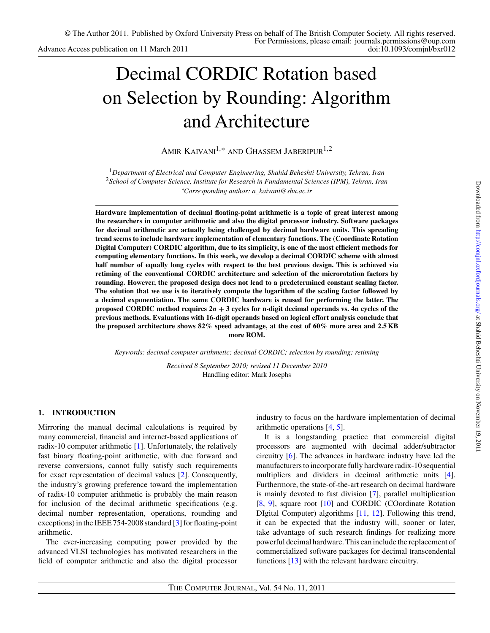# Decimal CORDIC Rotation based on Selection by Rounding: Algorithm and Architecture

Amir Kaivani1*,*∗ and Ghassem Jaberipur1*,*2

<sup>1</sup>*Department of Electrical and Computer Engineering, Shahid Beheshti University, Tehran, Iran* <sup>2</sup>*School of Computer Science, Institute for Research in Fundamental Sciences (IPM), Tehran, Iran* ∗ *Corresponding author: a\_kaivani@sbu.ac.ir*

**Hardware implementation of decimal floating-point arithmetic is a topic of great interest among the researchers in computer arithmetic and also the digital processor industry. Software packages for decimal arithmetic are actually being challenged by decimal hardware units. This spreading trend seems to include hardware implementation of elementary functions. The (Coordinate Rotation Digital Computer) CORDIC algorithm, due to its simplicity, is one of the most efficient methods for computing elementary functions. In this work, we develop a decimal CORDIC scheme with almost half number of equally long cycles with respect to the best previous design. This is achieved via retiming of the conventional CORDIC architecture and selection of the microrotation factors by rounding. However, the proposed design does not lead to a predetermined constant scaling factor. The solution that we use is to iteratively compute the logarithm of the scaling factor followed by a decimal exponentiation. The same CORDIC hardware is reused for performing the latter. The proposed CORDIC method requires**  $2n + 3$  **cycles for n-digit decimal operands vs. 4n cycles of the previous methods. Evaluations with 16-digit operands based on logical effort analysis conclude that the proposed architecture shows 82% speed advantage, at the cost of 60% more area and 2.5 KB more ROM.**

*Keywords: decimal computer arithmetic; decimal CORDIC; selection by rounding; retiming*

*Received 8 September 2010; revised 11 December 2010* Handling editor: Mark Josephs

# **1. INTRODUCTION**

Mirroring the manual decimal calculations is required by many commercial, financial and internet-based applications of radix-10 computer arithmetic [\[1\]](#page-10-0). Unfortunately, the relatively fast binary floating-point arithmetic, with due forward and reverse conversions, cannot fully satisfy such requirements for exact representation of decimal values [\[2\]](#page-10-0). Consequently, the industry's growing preference toward the implementation of radix-10 computer arithmetic is probably the main reason for inclusion of the decimal arithmetic specifications (e.g. decimal number representation, operations, rounding and exceptions) in the IEEE 754-2008 standard [\[3\]](#page-10-0) for floating-point arithmetic.

The ever-increasing computing power provided by the advanced VLSI technologies has motivated researchers in the field of computer arithmetic and also the digital processor industry to focus on the hardware implementation of decimal arithmetic operations [\[4,](#page-10-0) [5\]](#page-10-0).

It is a longstanding practice that commercial digital processors are augmented with decimal adder/subtractor circuitry [\[6](#page-10-0)]. The advances in hardware industry have led the manufacturers to incorporate fully hardware radix-10 sequential multipliers and dividers in decimal arithmetic units [\[4\]](#page-10-0). Furthermore, the state-of-the-art research on decimal hardware is mainly devoted to fast division [\[7\]](#page-10-0), parallel multiplication [\[8](#page-10-0), [9\]](#page-10-0), square root [\[10\]](#page-11-0) and CORDIC (COordinate Rotation DIgital Computer) algorithms [\[11,](#page-11-0) [12](#page-11-0)]. Following this trend, it can be expected that the industry will, sooner or later, take advantage of such research findings for realizing more powerful decimal hardware. This can include the replacement of commercialized software packages for decimal transcendental functions [\[13\]](#page-11-0) with the relevant hardware circuitry.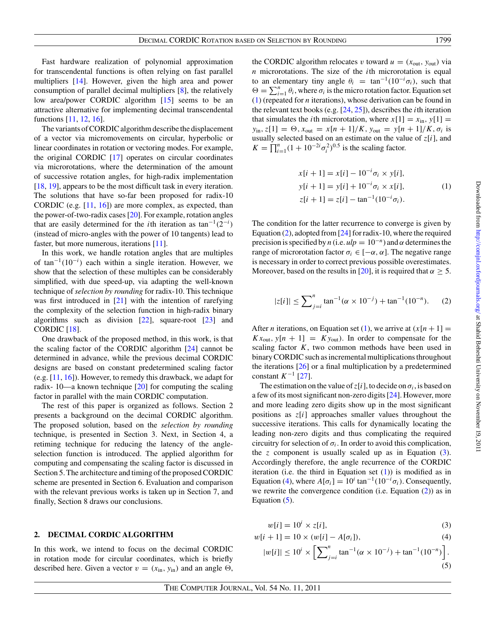<span id="page-1-0"></span>Fast hardware realization of polynomial approximation for transcendental functions is often relying on fast parallel multipliers [\[14](#page-11-0)]. However, given the high area and power consumption of parallel decimal multipliers [\[8](#page-10-0)], the relatively low area/power CORDIC algorithm [\[15](#page-11-0)] seems to be an attractive alternative for implementing decimal transcendental functions [\[11](#page-11-0), [12](#page-11-0), [16](#page-11-0)].

The variants of CORDIC algorithm describe the displacement of a vector via micromovements on circular, hyperbolic or linear coordinates in rotation or vectoring modes. For example, the original CORDIC [\[17](#page-11-0)] operates on circular coordinates via microrotations, where the determination of the amount of successive rotation angles, for high-radix implementation [\[18,](#page-11-0) [19\]](#page-11-0), appears to be the most difficult task in every iteration. The solutions that have so-far been proposed for radix-10 CORDIC (e.g. [\[11,](#page-11-0) [16](#page-11-0)]) are more complex, as expected, than the power-of-two-radix cases [\[20](#page-11-0)]. For example, rotation angles that are easily determined for the *i*th iteration as tan<sup>-1</sup>(2<sup>-*i*</sup>)</sub> (instead of micro-angles with the power of 10 tangents) lead to faster, but more numerous, iterations [\[11](#page-11-0)].

In this work, we handle rotation angles that are multiples of tan−1*(*10−*<sup>i</sup> )* each within a single iteration. However, we show that the selection of these multiples can be considerably simplified, with due speed-up, via adapting the well-known technique of *selection by rounding* for radix-10. This technique was first introduced in [\[21](#page-11-0)] with the intention of rarefying the complexity of the selection function in high-radix binary algorithms such as division  $[22]$ , square-root  $[23]$  $[23]$  and CORDIC [\[18\]](#page-11-0).

One drawback of the proposed method, in this work, is that the scaling factor of the CORDIC algorithm [\[24](#page-11-0)] cannot be determined in advance, while the previous decimal CORDIC designs are based on constant predetermined scaling factor (e.g. [\[11,](#page-11-0) [16](#page-11-0)]). However, to remedy this drawback, we adapt for radix- 10—a known technique [\[20\]](#page-11-0) for computing the scaling factor in parallel with the main CORDIC computation.

The rest of this paper is organized as follows. Section 2 presents a background on the decimal CORDIC algorithm. The proposed solution, based on the *selection by rounding* technique, is presented in Section 3. Next, in Section 4, a retiming technique for reducing the latency of the angleselection function is introduced. The applied algorithm for computing and compensating the scaling factor is discussed in Section 5. The architecture and timing of the proposed CORDIC scheme are presented in Section 6. Evaluation and comparison with the relevant previous works is taken up in Section 7, and finally, Section 8 draws our conclusions.

#### **2. DECIMAL CORDIC ALGORITHM**

In this work, we intend to focus on the decimal CORDIC in rotation mode for circular coordinates, which is briefly described here. Given a vector  $v = (x_{in}, y_{in})$  and an angle  $\Theta$ , the CORDIC algorithm relocates *v* toward  $u = (x_{\text{out}}, y_{\text{out}})$  via *n* microrotations. The size of the *i*th microrotation is equal to an elementary tiny angle  $\theta_i = \tan^{-1}(10^{-i}\sigma_i)$ , such that  $\Theta = \sum_{i=1}^{n} \theta_i$ , where  $\sigma_i$  is the micro rotation factor. Equation set (1) (repeated for *n* iterations), whose derivation can be found in the relevant text books (e.g. [\[24,](#page-11-0) [25](#page-11-0)]), describes the *i*th iteration that simulates the *i*th microrotation, where  $x[1] = x_{in}$ ,  $y[1] =$  $y_{\text{in}}$ ,  $z[1] = \Theta$ ,  $x_{\text{out}} = x[n+1]/K$ ,  $y_{\text{out}} = y[n+1]/K$ ,  $\sigma_i$  is usually selected based on an estimate on the value of *z*[*i*], and  $K = \prod_{i=1}^{n} (1 + 10^{-2i} \sigma_i^2)^{0.5}$  is the scaling factor.

$$
x[i + 1] = x[i] - 10^{-i}\sigma_i \times y[i],
$$
  
\n
$$
y[i + 1] = y[i] + 10^{-i}\sigma_i \times x[i],
$$
  
\n
$$
z[i + 1] = z[i] - \tan^{-1}(10^{-i}\sigma_i).
$$
\n(1)

The condition for the latter recurrence to converge is given by Equation  $(2)$ , adopted from [\[24\]](#page-11-0) for radix-10, where the required precision is specified by *n* (i.e.  $\mu l p = 10^{-n}$ ) and  $\alpha$  determines the range of microrotation factor  $\sigma_i \in [-\alpha, \alpha]$ . The negative range is necessary in order to correct previous possible overestimates. Moreover, based on the results in [\[20](#page-11-0)], it is required that  $\alpha \geq 5$ .

$$
|z[i]| \le \sum_{j=i}^{n} \tan^{-1}(\alpha \times 10^{-j}) + \tan^{-1}(10^{-n}).
$$
 (2)

After *n* iterations, on Equation set (1), we arrive at  $(x[n+1] =$  $Kx_{\text{out}}$ ,  $y[n+1] = Ky_{\text{out}}$ . In order to compensate for the scaling factor  $K$ , two common methods have been used in binary CORDIC such as incremental multiplications throughout the iterations [\[26\]](#page-11-0) or a final multiplication by a predetermined constant  $K^{-1}$  [\[27](#page-11-0)].

The estimation on the value of  $z[i]$ , to decide on  $\sigma_i$ , is based on a few of its most significant non-zero digits [\[24](#page-11-0)]. However, more and more leading zero digits show up in the most significant positions as *z*[*i*] approaches smaller values throughout the successive iterations. This calls for dynamically locating the leading non-zero digits and thus complicating the required circuitry for selection of  $\sigma_i$ . In order to avoid this complication, the *z* component is usually scaled up as in Equation  $(3)$ . Accordingly therefore, the angle recurrence of the CORDIC iteration (i.e. the third in Equation set  $(1)$ ) is modified as in Equation (4), where  $A[\sigma_i] = 10^i \tan^{-1}(10^{-i}\sigma_i)$ . Consequently, we rewrite the convergence condition (i.e. Equation (2)) as in Equation (5).

$$
w[i] = 10^i \times z[i],\tag{3}
$$

$$
w[i+1] = 10 \times (w[i] - A[\sigma_i]), \tag{4}
$$

$$
|w[i]| \le 10^i \times \left[\sum_{j=i}^n \tan^{-1}(\alpha \times 10^{-j}) + \tan^{-1}(10^{-n})\right].
$$
\n(5)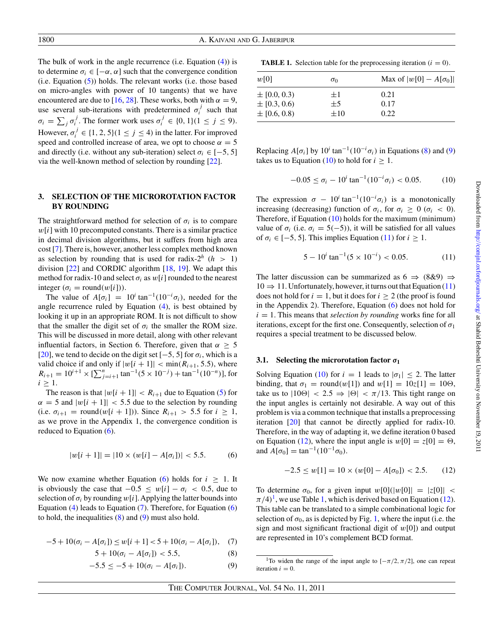<span id="page-2-0"></span>The bulk of work in the angle recurrence (i.e. Equation [\(4\)](#page-1-0)) is to determine  $\sigma_i \in [-\alpha, \alpha]$  such that the convergence condition  $(i.e. Equation (5))$  $(i.e. Equation (5))$  $(i.e. Equation (5))$  holds. The relevant works  $(i.e. those based$ on micro-angles with power of 10 tangents) that we have encountered are due to [\[16,](#page-11-0) [28](#page-11-0)]. These works, both with  $\alpha = 9$ , use several sub-iterations with predetermined  $\sigma_i^j$  such that  $\sigma_i = \sum_j \sigma_i^j$ . The former work uses  $\sigma_i^j \in \{0, 1\}$  $(1 \le j \le 9)$ . However,  $\sigma_i^j \in \{1, 2, 5\}$  $(1 \le j \le 4)$  in the latter. For improved speed and controlled increase of area, we opt to choose  $\alpha = 5$ and directly (i.e. without any sub-iteration) select  $\sigma_i \in [-5, 5]$ via the well-known method of selection by rounding [\[22](#page-11-0)].

## **3. SELECTION OF THE MICROROTATION FACTOR BY ROUNDING**

The straightforward method for selection of  $\sigma_i$  is to compare *w*[*i*] with 10 precomputed constants. There is a similar practice in decimal division algorithms, but it suffers from high area cost [\[7\]](#page-10-0). There is, however, another less complex method known as selection by rounding that is used for radix- $2^h$  (*h* > 1) division [\[22](#page-11-0)] and CORDIC algorithm [\[18,](#page-11-0) [19](#page-11-0)]. We adapt this method for radix-10 and select  $\sigma_i$  as  $w[i]$  rounded to the nearest integer  $(\sigma_i = \text{round}(w[i]))$ .

The value of  $A[\sigma_i] = 10^i \tan^{-1}(10^{-i}\sigma_i)$ , needed for the angle recurrence ruled by Equation [\(4\)](#page-1-0), is best obtained by looking it up in an appropriate ROM. It is not difficult to show that the smaller the digit set of  $\sigma_i$  the smaller the ROM size. This will be discussed in more detail, along with other relevant influential factors, in Section 6. Therefore, given that  $\alpha \geq 5$ [\[20](#page-11-0)], we tend to decide on the digit set  $[-5, 5]$  for  $\sigma_i$ , which is a valid choice if and only if  $|w[i + 1]| < min(R_{i+1}, 5.5)$ , where  $R_{i+1} = 10^{i+1} \times \left[ \sum_{j=i+1}^{n} \tan^{-1}(5 \times 10^{-j}) + \tan^{-1}(10^{-n}) \right]$ , for  $i \geq 1$ .

The reason is that  $|w[i+1]| < R_{i+1}$  due to Equation [\(5\)](#page-1-0) for  $\alpha = 5$  and  $|w[i + 1]| < 5.5$  due to the selection by rounding (i.e.  $\sigma_{i+1}$  = round(*w*[*i* + 1])). Since  $R_{i+1} > 5.5$  for  $i \ge 1$ , as we prove in the Appendix 1, the convergence condition is reduced to Equation  $(6)$ .

$$
|w[i+1]| = |10 \times (w[i] - A[\sigma_i])| < 5.5. \tag{6}
$$

We now examine whether Equation (6) holds for  $i \geq 1$ . It is obviously the case that −0*.*5 ≤ *w*[*i*] − *σi <* 0*.*5, due to selection of  $\sigma_i$  by rounding  $w[i]$ . Applying the latter bounds into Equation [\(4\)](#page-1-0) leads to Equation (7). Therefore, for Equation (6) to hold, the inequalities  $(8)$  and  $(9)$  must also hold.

$$
-5 + 10(\sigma_i - A[\sigma_i]) \le w[i+1] < 5 + 10(\sigma_i - A[\sigma_i]), \quad (7)
$$

$$
5 + 10(\sigma_i - A[\sigma_i]) < 5.5,\tag{8}
$$

$$
-5.5 \le -5 + 10(\sigma_i - A[\sigma_i]). \tag{9}
$$

**TABLE 1.** Selection table for the preprocessing iteration  $(i = 0)$ .

| w[0]             | $\sigma_0$ | Max of $ w[0] - A[\sigma_0] $ |
|------------------|------------|-------------------------------|
| $\pm$ [0.0, 0.3) | $+1$       | 0.21                          |
| $\pm$ [0.3, 0.6) | $\pm$ 5    | 0.17                          |
| $\pm$ [0.6, 0.8) | $\pm 10$   | 0.22                          |

Replacing  $A[\sigma_i]$  by  $10^i \tan^{-1}(10^{-i} \sigma_i)$  in Equations (8) and (9) takes us to Equation (10) to hold for  $i \geq 1$ .

$$
-0.05 \le \sigma_i - 10^i \tan^{-1}(10^{-i}\sigma_i) < 0.05. \tag{10}
$$

The expression  $\sigma - 10^{i} \tan^{-1}(10^{-i} \sigma_i)$  is a monotonically increasing (decreasing) function of  $\sigma_i$ , for  $\sigma_i \geq 0$  ( $\sigma_i < 0$ ). Therefore, if Equation (10) holds for the maximum (minimum) value of  $\sigma_i$  (i.e.  $\sigma_i = 5(-5)$ ), it will be satisfied for all values of  $\sigma_i \in [-5, 5]$ . This implies Equation (11) for  $i \geq 1$ .

$$
5 - 10^i \tan^{-1}(5 \times 10^{-i}) < 0.05. \tag{11}
$$

The latter discussion can be summarized as  $6 \Rightarrow (8\&9) \Rightarrow$  $10 \Rightarrow 11$ . Unfortunately, however, it turns out that Equation (11) does not hold for  $i = 1$ , but it does for  $i \ge 2$  (the proof is found in the Appendix 2). Therefore, Equation (6) does not hold for  $i = 1$ . This means that *selection by rounding* works fine for all iterations, except for the first one. Consequently, selection of  $\sigma_1$ requires a special treatment to be discussed below.

#### **3.1. Selecting the microrotation factor** *σ***<sup>1</sup>**

Solving Equation (10) for  $i = 1$  leads to  $|\sigma_1| \leq 2$ . The latter binding, that  $\sigma_1 = \text{round}(w[1])$  and  $w[1] = 10z[1] = 10\Theta$ , take us to  $|10\Theta| < 2.5 \Rightarrow |\Theta| < \pi/13$ . This tight range on the input angles is certainly not desirable. A way out of this problem is via a common technique that installs a preprocessing iteration [\[20](#page-11-0)] that cannot be directly applied for radix-10. Therefore, in the way of adapting it, we define iteration 0 based on Equation (12), where the input angle is  $w[0] = z[0] = \Theta$ , and  $A[\sigma_0] = \tan^{-1}(10^{-1}\sigma_0)$ .

$$
-2.5 \le w[1] = 10 \times (w[0] - A[\sigma_0]) < 2.5. \tag{12}
$$

To determine  $\sigma_0$ , for a given input  $w[0](|w[0]| = |z[0]| <$  $\pi/4$ <sup>1</sup>, we use Table 1, which is derived based on Equation (12). This table can be translated to a simple combinational logic for selection of  $\sigma_0$ , as is depicted by Fig. [1,](#page-3-0) where the input (i.e. the sign and most significant fractional digit of *w*[0]) and output are represented in 10's complement BCD format.

<sup>&</sup>lt;sup>1</sup>To widen the range of the input angle to  $[-\pi/2, \pi/2]$ , one can repeat iteration  $i = 0$ .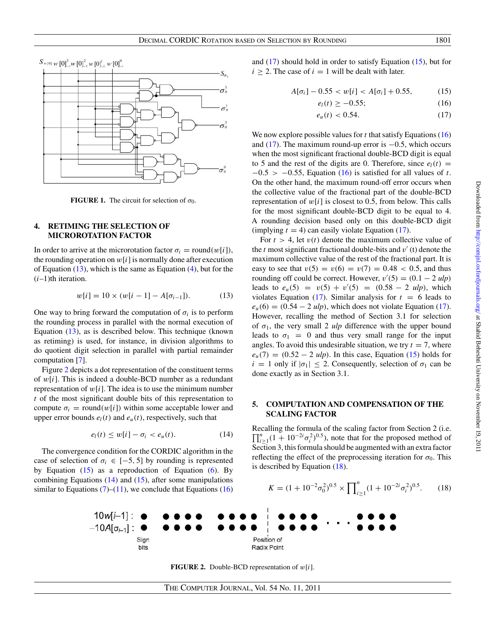<span id="page-3-0"></span>

**FIGURE 1.** The circuit for selection of  $\sigma_0$ .

## **4. RETIMING THE SELECTION OF MICROROTATION FACTOR**

In order to arrive at the microrotation factor  $\sigma_i$  = round $(w[i])$ , the rounding operation on  $w[i]$  is normally done after execution of Equation  $(13)$ , which is the same as Equation  $(4)$ , but for the (*i*–1)th iteration.

$$
w[i] = 10 \times (w[i-1] - A[\sigma_{i-1}]). \tag{13}
$$

One way to bring forward the computation of  $\sigma_i$  is to perform the rounding process in parallel with the normal execution of Equation (13), as is described below. This technique (known as retiming) is used, for instance, in division algorithms to do quotient digit selection in parallel with partial remainder computation [\[7](#page-10-0)].

Figure 2 depicts a dot representation of the constituent terms of *w*[*i*]. This is indeed a double-BCD number as a redundant representation of  $w[i]$ . The idea is to use the minimum number *t* of the most significant double bits of this representation to compute  $\sigma_i$  = round $(w[i])$  within some acceptable lower and upper error bounds  $e_l(t)$  and  $e_u(t)$ , respectively, such that

$$
e_l(t) \le w[i] - \sigma_i < e_u(t). \tag{14}
$$

The convergence condition for the CORDIC algorithm in the case of selection of  $\sigma_i \in [-5, 5]$  by rounding is represented by Equation  $(15)$  as a reproduction of Equation  $(6)$ . By combining Equations (14) and (15), after some manipulations similar to Equations  $(7)$ – $(11)$ , we conclude that Equations (16) and (17) should hold in order to satisfy Equation (15), but for  $i \geq 2$ . The case of  $i = 1$  will be dealt with later.

$$
A[\sigma_i] - 0.55 < w[i] < A[\sigma_i] + 0.55,\tag{15}
$$

$$
e_l(t) \ge -0.55; \tag{16}
$$

$$
e_u(t) < 0.54. \tag{17}
$$

We now explore possible values for  $t$  that satisfy Equations  $(16)$ and (17). The maximum round-up error is  $-0.5$ , which occurs when the most significant fractional double-BCD digit is equal to 5 and the rest of the digits are 0. Therefore, since  $e_l(t)$  = −0*.*5 *>* −0*.*55, Equation (16) is satisfied for all values of *t*. On the other hand, the maximum round-off error occurs when the collective value of the fractional part of the double-BCD representation of  $w[i]$  is closest to 0.5, from below. This calls for the most significant double-BCD digit to be equal to 4. A rounding decision based only on this double-BCD digit (implying  $t = 4$ ) can easily violate Equation (17).

For  $t > 4$ , let  $v(t)$  denote the maximum collective value of the  $t$  most significant fractional double-bits and  $v'$  (t) denote the maximum collective value of the rest of the fractional part. It is easy to see that  $v(5) = v(6) = v(7) = 0.48 < 0.5$ , and thus rounding off could be correct. However,  $v'(5) = (0.1 - 2 \text{ ulp})$ leads to  $e_u(5) = v(5) + v'(5) = (0.58 - 2 \text{ ulp})$ , which violates Equation (17). Similar analysis for  $t = 6$  leads to  $e_u(6) = (0.54 - 2 \text{ ulp})$ , which does not violate Equation (17). However, recalling the method of Section 3.1 for selection of  $\sigma_1$ , the very small 2 *ulp* difference with the upper bound leads to  $\sigma_1 = 0$  and thus very small range for the input angles. To avoid this undesirable situation, we try  $t = 7$ , where  $e_u(7) = (0.52 - 2 \text{ ulp})$ . In this case, Equation (15) holds for  $i = 1$  only if  $|\sigma_1| \leq 2$ . Consequently, selection of  $\sigma_1$  can be done exactly as in Section 3.1.

## **5. COMPUTATION AND COMPENSATION OF THE SCALING FACTOR**

Recalling the formula of the scaling factor from Section 2 (i.e.  $\prod_{i\geq 1}^{n} (1 + 10^{-2i} \sigma_i^2)^{0.5}$ , note that for the proposed method of Section 3, this formula should be augmented with an extra factor reflecting the effect of the preprocessing iteration for  $\sigma_0$ . This is described by Equation (18).

$$
K = (1 + 10^{-2} \sigma_0^2)^{0.5} \times \prod_{i \ge 1}^n (1 + 10^{-2i} \sigma_i^2)^{0.5}.
$$
 (18)



**FIGURE 2.** Double-BCD representation of *w*[*i*].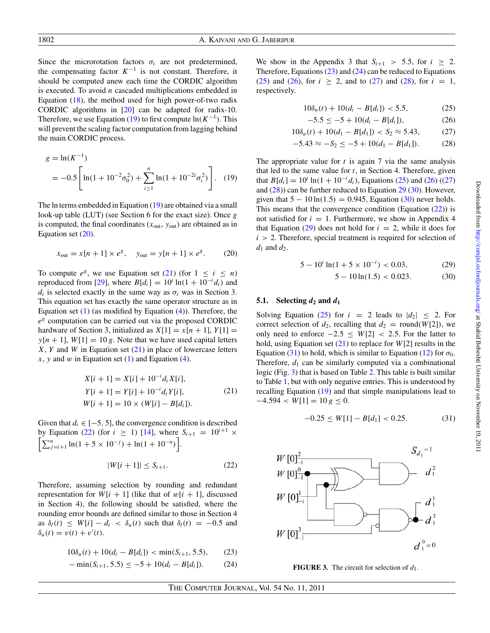<span id="page-4-0"></span>Since the microrotation factors  $\sigma_i$  are not predetermined, the compensating factor  $K^{-1}$  is not constant. Therefore, it should be computed anew each time the CORDIC algorithm is executed. To avoid *n* cascaded multiplications embedded in Equation  $(18)$ , the method used for high power-of-two radix CORDIC algorithms in [\[20\]](#page-11-0) can be adapted for radix-10. Therefore, we use Equation (19) to first compute  $ln(K^{-1})$ . This will prevent the scaling factor computation from lagging behind the main CORDIC process.

$$
g = \ln(K^{-1})
$$
  
= -0.5  $\left[ \ln(1 + 10^{-2} \sigma_0^2) + \sum_{i \ge 1}^n \ln(1 + 10^{-2i} \sigma_i^2) \right]$ . (19)

The ln terms embedded in Equation (19) are obtained via a small look-up table (LUT) (see Section 6 for the exact size). Once *g* is computed, the final coordinates  $(x_{\text{out}}, y_{\text{out}})$  are obtained as in Equation set (20).

$$
x_{\text{out}} = x[n+1] \times e^g
$$
,  $y_{\text{out}} = y[n+1] \times e^g$ . (20)

To compute  $e^g$ , we use Equation set (21) (for  $1 \le i \le n$ ) reproduced from [\[29](#page-11-0)], where  $B[d_i] = 10^i \ln(1 + 10^{-i} d_i)$  and  $d_i$  is selected exactly in the same way as  $\sigma_i$  was in Section 3. This equation set has exactly the same operator structure as in Equation set  $(1)$  (as modified by Equation  $(4)$ ). Therefore, the *e<sup>g</sup>* computation can be carried out via the proposed CORDIC hardware of Section 3, initialized as  $X[1] = x[n+1]$ ,  $Y[1] =$  $y[n+1]$ ,  $W[1] = 10 g$ . Note that we have used capital letters *X*, *Y* and *W* in Equation set (21) in place of lowercase letters *x*, *y* and *w* in Equation set [\(1\)](#page-1-0) and Equation [\(4\)](#page-1-0).

$$
X[i + 1] = X[i] + 10^{-i} d_i X[i],
$$
  
\n
$$
Y[i + 1] = Y[i] + 10^{-i} d_i Y[i],
$$
  
\n
$$
W[i + 1] = 10 \times (W[i] - B[d_i]).
$$
\n(21)

Given that  $d_i \in [-5, 5]$ , the convergence condition is described by Equation (22) (for  $i \ge 1$ ) [\[14](#page-11-0)], where  $S_{i+1} = 10$ Г  $i+1$   $\times$  $\sum_{j=i+1}^{n} \ln(1+5 \times 10^{-j}) + \ln(1+10^{-n})$ .

$$
|W[i+1]| \le S_{i+1}.\tag{22}
$$

Therefore, assuming selection by rounding and redundant representation for  $W[i + 1]$  (like that of  $w[i + 1]$ , discussed in Section 4), the following should be satisfied, where the rounding error bounds are defined similar to those in Section 4 as  $\delta_l(t) \leq W[i] - d_i < \delta_u(t)$  such that  $\delta_l(t) = -0.5$  and  $\delta_u(t) = v(t) + v'(t).$ 

$$
10\delta_u(t) + 10(d_i - B[d_i]) < \min(S_{i+1}, 5.5), \tag{23}
$$

$$
-\min(S_{i+1}, 5.5) \le -5 + 10(d_i - B[d_i]). \tag{24}
$$

We show in the Appendix 3 that  $S_{i+1} > 5.5$ , for  $i \geq 2$ . Therefore, Equations (23) and (24) can be reduced to Equations (25) and (26), for  $i \ge 2$ , and to (27) and (28), for  $i = 1$ , respectively.

$$
10\delta_u(t) + 10(d_i - B[d_i]) < 5.5,\tag{25}
$$

$$
-5.5 \le -5 + 10(d_i - B[d_i]), \tag{26}
$$

$$
10\delta_u(t) + 10(d_1 - B[d_1]) < S_2 \approx 5.43,\tag{27}
$$

$$
-5.43 \approx -S_2 \le -5 + 10(d_1 - B[d_1]). \tag{28}
$$

The appropriate value for  $t$  is again  $7$  via the same analysis that led to the same value for *t*, in Section 4. Therefore, given that  $B[d_i] = 10^i \ln(1 + 10^{-i} d_i)$ , Equations (25) and (26) ((27) and  $(28)$ ) can be further reduced to Equation  $29$  (30). However, given that  $5 - 10 \ln(1.5) = 0.945$ , Equation (30) never holds. This means that the convergence condition (Equation (22)) is not satisfied for  $i = 1$ . Furthermore, we show in Appendix 4 that Equation  $(29)$  does not hold for  $i = 2$ , while it does for *i >* 2. Therefore, special treatment is required for selection of  $d_1$  and  $d_2$ .

$$
5 - 10^i \ln(1 + 5 \times 10^{-i}) < 0.03,\tag{29}
$$

$$
5 - 10\ln(1.5) < 0.023.\tag{30}
$$

## **5.1.** Selecting  $d_2$  and  $d_1$

Solving Equation (25) for  $i = 2$  leads to  $|d_2| \leq 2$ . For correct selection of  $d_2$ , recalling that  $d_2$  = round(*W*[2]), we only need to enforce  $-2.5 \leq W[2]$  < 2.5. For the latter to hold, using Equation set (21) to replace for *W*[2] results in the Equation (31) to hold, which is similar to Equation [\(12\)](#page-2-0) for  $\sigma_0$ . Therefore,  $d_1$  can be similarly computed via a combinational logic (Fig. 3) that is based on Table [2.](#page-5-0) This table is built similar to Table [1,](#page-2-0) but with only negative entries. This is understood by recalling Equation (19) and that simple manipulations lead to  $-4.594 < W[1] = 10 g \leq 0.$ 

$$
-0.25 \le W[1] - B[d_1] < 0.25. \tag{31}
$$



**FIGURE 3.** The circuit for selection of  $d_1$ .

The Computer Journal, Vol. 54 No. 11, 2011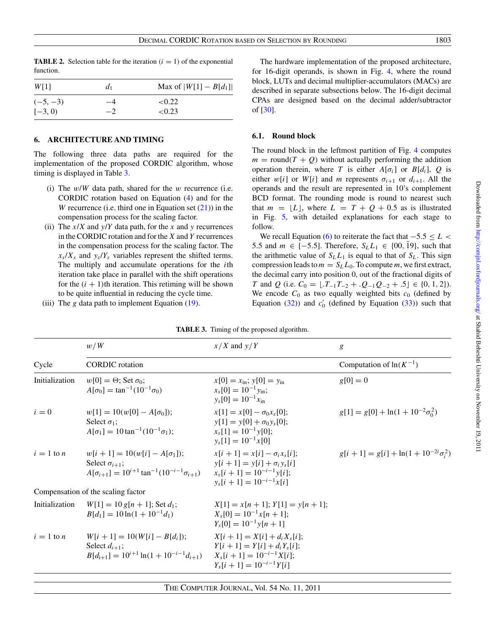*W*[1] *d*<sub>1</sub> Max of  $|W[1] - B[d_1]$  $(-5, -3)$   $-4$   $< 0.22$  $[-3, 0)$   $-2$  <0.23

<span id="page-5-0"></span>**TABLE 2.** Selection table for the iteration  $(i = 1)$  of the exponential function.

#### **6. ARCHITECTURE AND TIMING**

The following three data paths are required for the implementation of the proposed CORDIC algorithm, whose timing is displayed in Table 3.

- (i) The *w*/*W* data path, shared for the *w* recurrence (i.e. CORDIC rotation based on Equation [\(4\)](#page-1-0) and for the *W* recurrence (i.e. third one in Equation set  $(21)$ ) in the compensation process for the scaling factor.
- (ii) The  $x/X$  and  $y/Y$  data path, for the *x* and *y* recurrences in the CORDIC rotation and for the *X* and *Y* recurrences in the compensation process for the scaling factor. The  $x_s/X_s$  and  $y_s/Y_s$  variables represent the shifted terms. The multiply and accumulate operations for the *i*th iteration take place in parallel with the shift operations for the  $(i + 1)$ th iteration. This retiming will be shown to be quite influential in reducing the cycle time.
- (iii) The  $g$  data path to implement Equation  $(19)$ .

The hardware implementation of the proposed architecture, for 16-digit operands, is shown in Fig. [4,](#page-6-0) where the round block, LUTs and decimal multiplier-accumulators (MACs) are described in separate subsections below. The 16-digit decimal CPAs are designed based on the decimal adder/subtractor of [\[30\]](#page-11-0).

#### **6.1. Round block**

The round block in the leftmost partition of Fig. [4](#page-6-0) computes  $m = \text{round}(T + Q)$  without actually performing the addition operation therein, where *T* is either  $A[\sigma_i]$  or  $B[d_i]$ , *Q* is either  $w[i]$  or  $W[i]$  and *m* represents  $\sigma_{i+1}$  or  $d_{i+1}$ . All the operands and the result are represented in 10's complement BCD format. The rounding mode is round to nearest such that  $m = \lfloor L \rfloor$ , where  $L = T + Q + 0.5$  as is illustrated in Fig. [5,](#page-6-0) with detailed explanations for each stage to follow.

We recall Equation [\(6\)](#page-2-0) to reiterate the fact that −5*.*5 ≤ *L <* 5.5 and *m* ∈ [−5.5]. Therefore,  $S_L L_1$  ∈ {00, 19}, such that the arithmetic value of  $S_L L_1$  is equal to that of  $S_L$ . This sign compression leads to  $m = S_L L_0$ . To compute m, we first extract, the decimal carry into position 0, out of the fractional digits of *T* and *Q* (i.e.  $C_0 = \lfloor .T_{-1}T_{-2} + .Q_{-1}Q_{-2} + .5 \rfloor \in \{0, 1, 2\}$ ). We encode  $C_0$  as two equally weighted bits  $c_0$  (defined by Equation [\(32\)](#page-6-0)) and  $c'_0$  (defined by Equation [\(33\)](#page-6-0)) such that

|                | w/W                                                                                                                               | $x/X$ and $y/Y$                                                                                                                           | g                                              |  |  |
|----------------|-----------------------------------------------------------------------------------------------------------------------------------|-------------------------------------------------------------------------------------------------------------------------------------------|------------------------------------------------|--|--|
| Cycle          | <b>CORDIC</b> rotation                                                                                                            |                                                                                                                                           | Computation of $ln(K^{-1})$                    |  |  |
| Initialization | $w[0] = \Theta$ ; Set $\sigma_0$ ;<br>$A[\sigma_0] = \tan^{-1}(10^{-1}\sigma_0)$                                                  | $x[0] = x_{\text{in}}$ ; $y[0] = y_{\text{in}}$<br>$x_s[0] = 10^{-1} y_{\text{in}};$<br>$y_s[0] = 10^{-1}x_{in}$                          | $g[0] = 0$                                     |  |  |
| $i=0$          | $w[1] = 10(w[0] - A[\sigma_0])$ ;<br>Select $\sigma_1$ ;<br>$A[\sigma_1] = 10 \tan^{-1}(10^{-1}\sigma_1);$                        | $x[1] = x[0] - \sigma_0 x_s[0];$<br>$y[1] = y[0] + \sigma_0 y_s[0];$<br>$x_s[1] = 10^{-1}y[0];$<br>$y_s[1] = 10^{-1}x[0]$                 | $g[1] = g[0] + \ln(1 + 10^{-2}\sigma_0^2)$     |  |  |
| $i=1$ to n     | $w[i + 1] = 10(w[i] - A[\sigma_1])$ ;<br>Select $\sigma_{i+1}$ ;<br>$A[\sigma_{i+1}] = 10^{i+1} \tan^{-1}(10^{-i-1}\sigma_{i+1})$ | $x[i + 1] = x[i] - \sigma_i x_s[i];$<br>$y[i + 1] = y[i] + \sigma_i y_s[i]$<br>$x_s[i+1] = 10^{-i-1}$ y[i];<br>$v_s[i+1] = 10^{-i-1}x[i]$ | $g[i + 1] = g[i] + ln(1 + 10^{-2i}\sigma_i^2)$ |  |  |
|                | Compensation of the scaling factor                                                                                                |                                                                                                                                           |                                                |  |  |
| Initialization | $W[1] = 10 g[n+1]$ ; Set $d_1$ ;<br>$B[d_1] = 10 \ln(1 + 10^{-1} d_1)$                                                            | $X[1] = x[n+1]$ : $Y[1] = y[n+1]$ :<br>$X_s[0] = 10^{-1}x[n+1];$<br>$Y_s[0] = 10^{-1}y[n+1]$                                              |                                                |  |  |
| $i=1$ to n     | $W[i + 1] = 10(W[i] - B[d_i])$ ;<br>Select $d_{i+1}$ ;<br>$B[d_{i+1}] = 10^{i+1} \ln(1 + 10^{-i-1} d_{i+1})$                      | $X[i + 1] = X[i] + d_i X_s[i];$<br>$Y[i + 1] = Y[i] + d_i Y_s[i];$<br>$X_s[i+1] = 10^{-i-1}X[i];$<br>$Y_{s}[i+1] = 10^{-i-1}Y[i]$         |                                                |  |  |

**TABLE 3.** Timing of the proposed algorithm.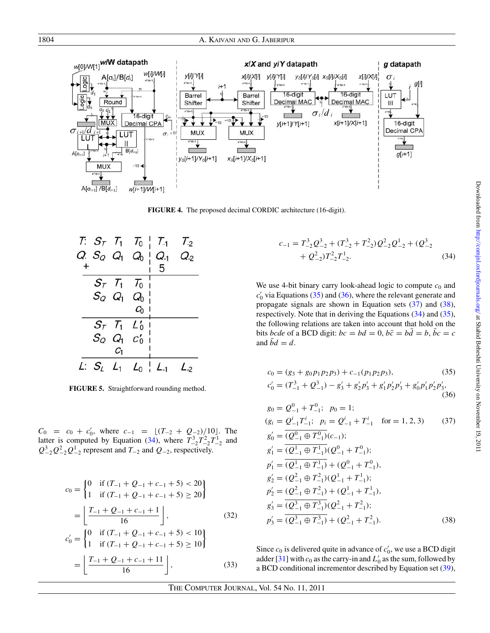<span id="page-6-0"></span>

**FIGURE 4.** The proposed decimal CORDIC architecture (16-digit).



**FIGURE 5.** Straightforward rounding method.

 $C_0 = c_0 + c'_0$ , where  $c_{-1} = \lfloor (T_{-2} + Q_{-2})/10 \rfloor$ . The latter is computed by Equation (34), where  $T_{-2}^3 T_{-2}^2 T_{-2}^1$  and  $Q_{-2}^3 Q_{-2}^2 Q_{-2}^1$  represent and *T*<sub>−2</sub> and *Q*<sub>−2</sub>, respectively.

$$
c_0 = \begin{cases} 0 & \text{if } (T_{-1} + Q_{-1} + c_{-1} + 5) < 20 \\ 1 & \text{if } (T_{-1} + Q_{-1} + c_{-1} + 5) \ge 20 \end{cases}
$$

$$
= \left[ \frac{T_{-1} + Q_{-1} + c_{-1} + 1}{16} \right], \tag{32}
$$

$$
c'_{0} = \begin{cases} 0 & \text{if } (T_{-1} + Q_{-1} + c_{-1} + 5) < 10 \\ 1 & \text{if } (T_{-1} + Q_{-1} + c_{-1} + 5) \ge 10 \end{cases}
$$

$$
= \left[ \frac{T_{-1} + Q_{-1} + c_{-1} + 11}{16} \right], \tag{33}
$$

$$
c_{-1} = T_{-2}^{3} Q_{-2}^{3} + (T_{-2}^{3} + T_{-2}^{2}) Q_{-2}^{2} Q_{-2}^{1} + (Q_{-2}^{3} + Q_{-2}^{2}) T_{-2}^{2} T_{-2}^{1}.
$$
\n(34)

We use 4-bit binary carry look-ahead logic to compute  $c_0$  and  $c_0$ <sup>'</sup> via Equations (35) and (36), where the relevant generate and propagate signals are shown in Equation sets (37) and (38), respectively. Note that in deriving the Equations (34) and (35), the following relations are taken into account that hold on the bits *bcde* of a BCD digit:  $bc = bd = 0$ ,  $b\bar{c} = b\bar{d} = b$ ,  $\bar{b}c = c$ and  $\bar{b}d = d$ .

$$
c_0 = (g_3 + g_0 p_1 p_2 p_3) + c_{-1}(p_1 p_2 p_3),
$$
\n
$$
c'_0 = (T_{-1}^3 + Q_{-1}^3) - g'_3 + g'_2 p'_3 + g'_1 p'_2 p'_3 + g'_0 p'_1 p'_2 p'_3,
$$
\n(36)

$$
g_0 = Q_{-1}^0 + T_{-1}^0; \quad p_0 = 1;
$$
  
\n
$$
(g_i = Q_{-1}^i T_{-1}^i; \quad p_i = Q_{-1}^i + T_{-1}^i \quad \text{for } = 1, 2, 3)
$$
 (37)  
\n
$$
g'_0 = \overline{(Q_{-1}^0 \oplus T_{-1}^0)}(c_{-1});
$$
  
\n
$$
g'_1 = \overline{(Q_{-1}^1 \oplus T_{-1}^1)}(Q_{-1}^0 + T_{-1}^0);
$$
  
\n
$$
p'_1 = \overline{(Q_{-1}^1 \oplus T_{-1}^1)} + (Q_{-1}^0 + T_{-1}^0),
$$
  
\n
$$
g'_2 = (Q_{-1}^2 \oplus T_{-1}^2)(Q_{-1}^1 + T_{-1}^1);
$$
  
\n
$$
p'_2 = \overline{(Q_{-1}^2 \oplus T_{-1}^2)} + (\overline{Q_{-1}^1} + T_{-1}^1),
$$
  
\n
$$
g'_3 = \overline{(Q_{-1}^3 \oplus T_{-1}^3)}(Q_{-1}^2 + T_{-1}^2);
$$
  
\n
$$
p'_3 = \overline{(Q_{-1}^3 \oplus T_{-1}^3)} + (\overline{Q_{-1}^2} + T_{-1}^2).
$$
 (38)

Since  $c_0$  is delivered quite in advance of  $c'_0$ , we use a BCD digit adder [\[31\]](#page-11-0) with  $c_0$  as the carry-in and  $L'_0$  as the sum, followed by a BCD conditional incrementor described by Equation set [\(39\)](#page-7-0),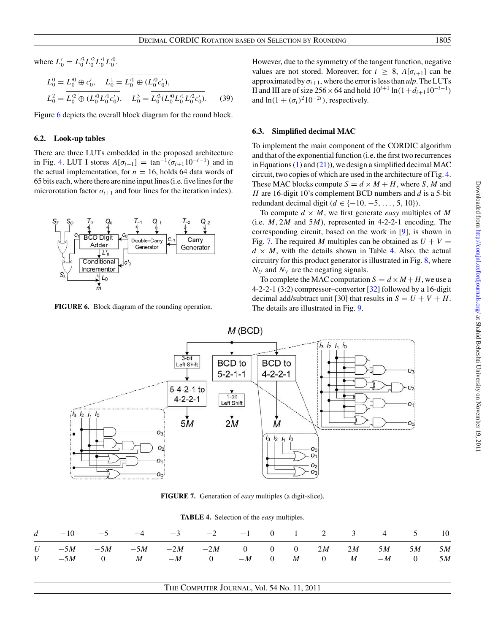<span id="page-7-0"></span>where  $L'_0 = L'^3_0 L'^2_0 L'^1_0 L'^0_0$ .

$$
L_0^0 = L_0^{\prime 0} \oplus c_0', \quad L_0^1 = \overline{L_0^{\prime 1} \oplus \overline{(L_0^{\prime 0} c_0')}},
$$
  

$$
L_0^2 = \overline{L_0^{\prime 2} \oplus \overline{(L_0^{\prime 0} L_0^{\prime 1} c_0')}}, \quad L_0^3 = \overline{L_0^{\prime 3} \overline{(L_0^{\prime 0} L_0^{\prime 1} L_0^{\prime 2} c_0')}}, \quad (39)
$$

Figure 6 depicts the overall block diagram for the round block.

#### **6.2. Look-up tables**

There are three LUTs embedded in the proposed architecture in Fig. [4.](#page-6-0) LUT I stores  $A[\sigma_{i+1}] = \tan^{-1}(\sigma_{i+1}10^{-i-1})$  and in the actual implementation, for  $n = 16$ , holds 64 data words of 65 bits each, where there are nine input lines (i.e. five lines for the microrotation factor  $\sigma_{i+1}$  and four lines for the iteration index).



**FIGURE 6.** Block diagram of the rounding operation.

However, due to the symmetry of the tangent function, negative values are not stored. Moreover, for  $i \geq 8$ ,  $A[\sigma_{i+1}]$  can be approximated by  $\sigma_{i+1}$ , where the error is less than  $\mu l$ . The LUTs II and III are of size 256 × 64 and hold  $10^{i+1}$  ln( $1+d_{i+1}10^{-i-1}$ ) and  $\ln(1 + (\sigma_i)^2 10^{-2i})$ , respectively.

#### **6.3. Simplified decimal MAC**

To implement the main component of the CORDIC algorithm and that of the exponential function (i.e. the first two recurrences in Equations [\(1\)](#page-1-0) and [\(21\)](#page-4-0)), we design a simplified decimal MAC circuit, two copies of which are used in the architecture of Fig. [4.](#page-6-0) These MAC blocks compute  $S = d \times M + H$ , where *S*, *M* and *H* are 16-digit 10's complement BCD numbers and *d* is a 5-bit redundant decimal digit  $(d \in \{-10, -5, \ldots, 5, 10\})$ .

To compute  $d \times M$ , we first generate *easy* multiples of M (i.e. *M,* 2*M* and 5*M*), represented in 4-2-2-1 encoding. The corresponding circuit, based on the work in [\[9](#page-10-0)], is shown in Fig. 7. The required M multiples can be obtained as  $U + V =$  $d \times M$ , with the details shown in Table 4. Also, the actual circuitry for this product generator is illustrated in Fig. [8,](#page-8-0) where  $N_U$  and  $N_V$  are the negating signals.

To complete the MAC computation  $S = d \times M + H$ , we use a 4-2-2-1 (3:2) compressor–convertor [\[32](#page-11-0)] followed by a 16-digit decimal add/subtract unit [30] that results in  $S = U + V + H$ . The details are illustrated in Fig. [9.](#page-8-0)



**FIGURE 7.** Generation of *easy* multiples (a digit-slice).

|  |  |  | TABLE 4. Selection of the easy multiples. |
|--|--|--|-------------------------------------------|
|--|--|--|-------------------------------------------|

|  |  | $d = -10$ $-5$ $-4$ $-3$ $-2$ $-1$ 0 1 2 3 4 5 10    |  |  |  |  |  |
|--|--|------------------------------------------------------|--|--|--|--|--|
|  |  | $U$ $-5M$ $-5M$ $-5M$ $-2M$ $-2M$ 0 0 2M 2M 5M 5M 5M |  |  |  |  |  |
|  |  | $V$ $-5M$ 0 $M$ $-M$ 0 $-M$ 0 $M$ 0 $M$ $-M$ 0 $5M$  |  |  |  |  |  |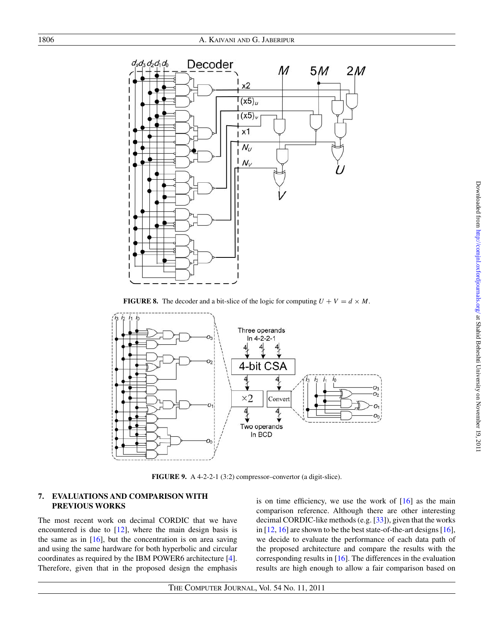<span id="page-8-0"></span>

**FIGURE 8.** The decoder and a bit-slice of the logic for computing  $U + V = d \times M$ .



**FIGURE 9.** A 4-2-2-1 (3:2) compressor–convertor (a digit-slice).

## **7. EVALUATIONS AND COMPARISON WITH PREVIOUS WORKS**

The most recent work on decimal CORDIC that we have encountered is due to  $[12]$ , where the main design basis is the same as in  $[16]$  $[16]$ , but the concentration is on area saving and using the same hardware for both hyperbolic and circular coordinates as required by the IBM POWER6 architecture [\[4](#page-10-0)]. Therefore, given that in the proposed design the emphasis is on time efficiency, we use the work of  $[16]$  $[16]$  as the main comparison reference. Although there are other interesting decimal CORDIC-like methods (e.g. [\[33](#page-11-0)]), given that the works in  $[12, 16]$  $[12, 16]$  $[12, 16]$  are shown to be the best state-of-the-art designs  $[16]$ , we decide to evaluate the performance of each data path of the proposed architecture and compare the results with the corresponding results in [\[16\]](#page-11-0). The differences in the evaluation results are high enough to allow a fair comparison based on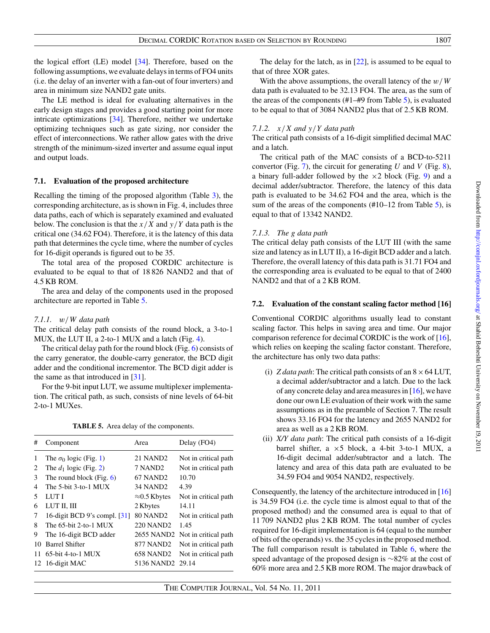the logical effort (LE) model [\[34](#page-11-0)]. Therefore, based on the following assumptions, we evaluate delays in terms of FO4 units (i.e. the delay of an inverter with a fan-out of four inverters) and area in minimum size NAND2 gate units.

The LE method is ideal for evaluating alternatives in the early design stages and provides a good starting point for more intricate optimizations [\[34](#page-11-0)]. Therefore, neither we undertake optimizing techniques such as gate sizing, nor consider the effect of interconnections. We rather allow gates with the drive strength of the minimum-sized inverter and assume equal input and output loads.

## **7.1. Evaluation of the proposed architecture**

Recalling the timing of the proposed algorithm (Table [3\)](#page-5-0), the corresponding architecture, as is shown in Fig. 4, includes three data paths, each of which is separately examined and evaluated below. The conclusion is that the *x/X* and *y/Y* data path is the critical one (34.62 FO4). Therefore, it is the latency of this data path that determines the cycle time, where the number of cycles for 16-digit operands is figured out to be 35.

The total area of the proposed CORDIC architecture is evaluated to be equal to that of 18 826 NAND2 and that of 4.5 KB ROM.

The area and delay of the components used in the proposed architecture are reported in Table 5.

# *7.1.1. w/W data path*

The critical delay path consists of the round block, a 3-to-1 MUX, the LUT II, a 2-to-1 MUX and a latch (Fig. [4\)](#page-6-0).

The critical delay path for the round block (Fig. [6\)](#page-7-0) consists of the carry generator, the double-carry generator, the BCD digit adder and the conditional incrementor. The BCD digit adder is the same as that introduced in [\[31\]](#page-11-0).

For the 9-bit input LUT, we assume multiplexer implementation. The critical path, as such, consists of nine levels of 64-bit 2-to-1 MUXes.

**TABLE 5.** Area delay of the components.

| #  | Component                     | Area                         | Delay (FO4)                     |
|----|-------------------------------|------------------------------|---------------------------------|
| 1  | The $\sigma_0$ logic (Fig. 1) | 21 NAND <sub>2</sub>         | Not in critical path            |
| 2  | The $d_1$ logic (Fig. 2)      | 7 NAND2                      | Not in critical path            |
| 3  | The round block (Fig. $6$ )   | 67 NAND <sub>2</sub>         | 10.70                           |
| 4  | The 5-bit 3-to-1 MUX          | 34 NAND2                     | 4.39                            |
| 5  | LUT I                         | $\approx 0.5$ Kbytes         | Not in critical path            |
| 6  | LUT II, III                   | 2 Kbytes                     | 14.11                           |
| 7  | 16-digit BCD 9's compl. [31]  | <b>80 NAND2</b>              | Not in critical path            |
| 8  | The $65$ -bit 2-to-1 MUX      | 220 NAND2                    | 1.45                            |
| 9  | The 16-digit BCD adder        |                              | 2655 NAND2 Not in critical path |
| 10 | <b>Barrel Shifter</b>         | 877 NAND2                    | Not in critical path            |
| 11 | $65$ -bit 4-to-1 MUX          | 658 NAND2                    | Not in critical path            |
|    | 12 16-digit MAC               | 5136 NAND <sub>2</sub> 29.14 |                                 |

The delay for the latch, as in [\[22\]](#page-11-0), is assumed to be equal to that of three XOR gates.

With the above assumptions, the overall latency of the *w/W* data path is evaluated to be 32.13 FO4. The area, as the sum of the areas of the components (#1–#9 from Table 5), is evaluated to be equal to that of 3084 NAND2 plus that of 2.5 KB ROM.

# *7.1.2. x/X and y/Y data path*

The critical path consists of a 16-digit simplified decimal MAC and a latch.

The critical path of the MAC consists of a BCD-to-5211 convertor (Fig. [7\)](#page-7-0), the circuit for generating *U* and *V* (Fig. [8\)](#page-8-0), a binary full-adder followed by the  $\times$ 2 block (Fig. [9\)](#page-8-0) and a decimal adder/subtractor. Therefore, the latency of this data path is evaluated to be 34.62 FO4 and the area, which is the sum of the areas of the components  $(\text{#10-12 from Table 5})$ , is equal to that of 13342 NAND2.

# *7.1.3. The g data path*

The critical delay path consists of the LUT III (with the same size and latency as in LUT II), a 16-digit BCD adder and a latch. Therefore, the overall latency of this data path is 31.71 FO4 and the corresponding area is evaluated to be equal to that of 2400 NAND2 and that of a 2 KB ROM.

## **7.2. Evaluation of the constant scaling factor method [16]**

Conventional CORDIC algorithms usually lead to constant scaling factor. This helps in saving area and time. Our major comparison reference for decimal CORDIC is the work of [\[16\]](#page-11-0), which relies on keeping the scaling factor constant. Therefore, the architecture has only two data paths:

- (i) *Z data path*: The critical path consists of an  $8 \times 64$  LUT, a decimal adder/subtractor and a latch. Due to the lack of any concrete delay and area measures in [\[16](#page-11-0)], we have done our own LE evaluation of their work with the same assumptions as in the preamble of Section 7. The result shows 33.16 FO4 for the latency and 2655 NAND2 for area as well as a 2 KB ROM.
- (ii) *X/Y data path*: The critical path consists of a 16-digit barrel shifter, a ×5 block, a 4-bit 3-to-1 MUX, a 16-digit decimal adder/subtractor and a latch. The latency and area of this data path are evaluated to be 34.59 FO4 and 9054 NAND2, respectively.

Consequently, the latency of the architecture introduced in [\[16](#page-11-0)] is 34.59 FO4 (i.e. the cycle time is almost equal to that of the proposed method) and the consumed area is equal to that of 11 709 NAND2 plus 2 KB ROM. The total number of cycles required for 16-digit implementation is 64 (equal to the number of bits of the operands) vs. the 35 cycles in the proposed method. The full comparison result is tabulated in Table [6,](#page-10-0) where the speed advantage of the proposed design is ∼82% at the cost of 60% more area and 2.5 KB more ROM. The major drawback of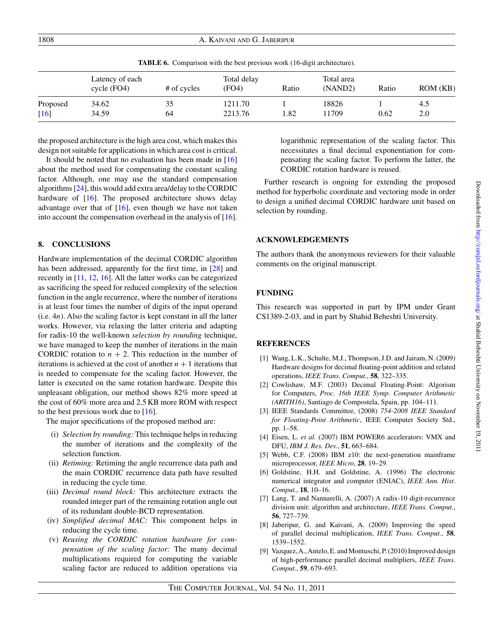<span id="page-10-0"></span>1808 A. Kaivani and G. Jaberipur

**TABLE 6.** Comparison with the best previous work (16-digit architecture).

|                  | Latency of each<br>cycle $(FO4)$ | # of cycles | Total delay<br>(FO4) | Ratio | Total area<br>(NAND2) | Ratio | ROM(KB)    |
|------------------|----------------------------------|-------------|----------------------|-------|-----------------------|-------|------------|
| Proposed<br>[16] | 34.62<br>34.59                   | 35<br>64    | 1211.70<br>2213.76   | .82   | 18826<br>11709        | 0.62  | 4.5<br>2.0 |

the proposed architecture is the high area cost, which makes this design not suitable for applications in which area cost is critical.

It should be noted that no evaluation has been made in [\[16](#page-11-0)] about the method used for compensating the constant scaling factor. Although, one may use the standard compensation algorithms [\[24](#page-11-0)], this would add extra area/delay to the CORDIC hardware of [\[16\]](#page-11-0). The proposed architecture shows delay advantage over that of  $[16]$  $[16]$ , even though we have not taken into account the compensation overhead in the analysis of [\[16](#page-11-0)].

### **8. CONCLUSIONS**

Hardware implementation of the decimal CORDIC algorithm has been addressed, apparently for the first time, in [\[28\]](#page-11-0) and recently in [\[11,](#page-11-0) [12,](#page-11-0) [16\]](#page-11-0). All the latter works can be categorized as sacrificing the speed for reduced complexity of the selection function in the angle recurrence, where the number of iterations is at least four times the number of digits of the input operand (i.e. 4*n*). Also the scaling factor is kept constant in all the latter works. However, via relaxing the latter criteria and adapting for radix-10 the well-known *selection by rounding* technique, we have managed to keep the number of iterations in the main CORDIC rotation to  $n + 2$ . This reduction in the number of iterations is achieved at the cost of another  $n + 1$  iterations that is needed to compensate for the scaling factor. However, the latter is executed on the same rotation hardware. Despite this unpleasant obligation, our method shows 82% more speed at the cost of 60% more area and 2.5 KB more ROM with respect to the best previous work due to  $[16]$  $[16]$ .

The major specifications of the proposed method are:

- (i) *Selection by rounding:* This technique helps in reducing the number of iterations and the complexity of the selection function.
- (ii) *Retiming:* Retiming the angle recurrence data path and the main CORDIC recurrence data path have resulted in reducing the cycle time.
- (iii) *Decimal round block:* This architecture extracts the rounded integer part of the remaining rotation angle out of its redundant double-BCD representation.
- (iv) *Simplified decimal MAC:* This component helps in reducing the cycle time.
- (v) *Reusing the CORDIC rotation hardware for compensation of the scaling factor:* The many decimal multiplications required for computing the variable scaling factor are reduced to addition operations via

logarithmic representation of the scaling factor. This necessitates a final decimal exponentiation for compensating the scaling factor. To perform the latter, the CORDIC rotation hardware is reused.

Further research is ongoing for extending the proposed method for hyperbolic coordinate and vectoring mode in order to design a unified decimal CORDIC hardware unit based on selection by rounding.

# **ACKNOWLEDGEMENTS**

The authors thank the anonymous reviewers for their valuable comments on the original manuscript.

#### **FUNDING**

This research was supported in part by IPM under Grant CS1389-2-03, and in part by Shahid Beheshti University.

#### **REFERENCES**

- [1] Wang, L.K., Schulte, M.J., Thompson, J.D. and Jairam, N. (2009) Hardware designs for decimal floating-point addition and related operations, *IEEE Trans. Comput.*, **58**, 322–335.
- [2] Cowlishaw, M.F. (2003) Decimal Floating-Point: Algorism for Computers, *Proc. 16th IEEE Symp. Computer Arithmetic (ARITH16)*, Santiago de Compostela, Spain, pp. 104–111.
- [3] IEEE Standards Committee, (2008) *754-2008 IEEE Standard for Floating-Point Arithmetic*, IEEE Computer Society Std., pp. 1–58.
- [4] Eisen, L. *et al.* (2007) IBM POWER6 accelerators: VMX and DFU, *IBM J. Res. Dev.*, **51**, 663–684.
- [5] Webb, C.F. (2008) IBM z10: the next-generation mainframe microprocessor, *IEEE Micro*, **28**, 19–29.
- [6] Goldstine, H.H. and Goldstine, A. (1996) The electronic numerical integrator and computer (ENIAC), *IEEE Ann. Hist. Comput.*, **18**, 10–16.
- [7] Lang, T. and Nannarelli, A. (2007) A radix-10 digit-recurrence division unit: algorithm and architecture, *IEEE Trans. Comput.*, **56**, 727–739.
- [8] Jaberipur, G. and Kaivani, A. (2009) Improving the speed of parallel decimal multiplication, *IEEE Trans. Comput.*, **58**, 1539–1552.
- [9] Vazquez, A., Antelo, E. and Montuschi, P. (2010) Improved design of high-performance parallel decimal multipliers, *IEEE Trans. Comput.*, **59**, 679–693.